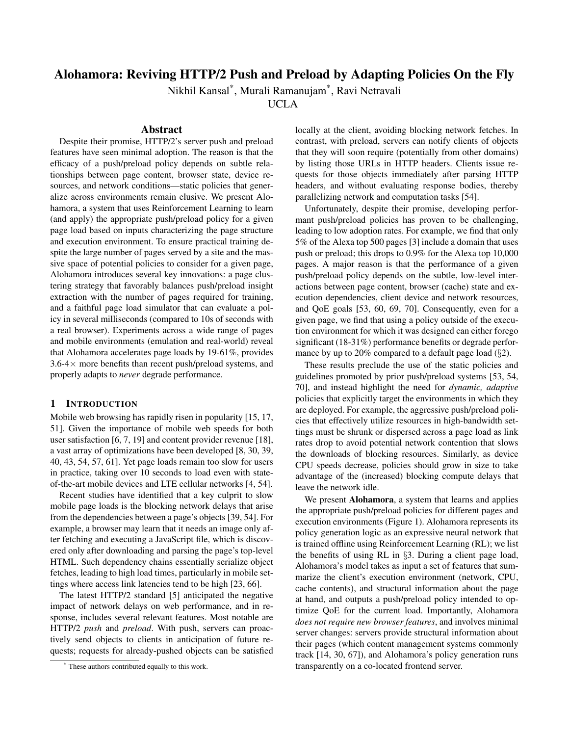# Alohamora: Reviving HTTP/2 Push and Preload by Adapting Policies On the Fly

Nikhil Kansal\* , Murali Ramanujam\* , Ravi Netravali

UCLA

## Abstract

Despite their promise, HTTP/2's server push and preload features have seen minimal adoption. The reason is that the efficacy of a push/preload policy depends on subtle relationships between page content, browser state, device resources, and network conditions—static policies that generalize across environments remain elusive. We present Alohamora, a system that uses Reinforcement Learning to learn (and apply) the appropriate push/preload policy for a given page load based on inputs characterizing the page structure and execution environment. To ensure practical training despite the large number of pages served by a site and the massive space of potential policies to consider for a given page, Alohamora introduces several key innovations: a page clustering strategy that favorably balances push/preload insight extraction with the number of pages required for training, and a faithful page load simulator that can evaluate a policy in several milliseconds (compared to 10s of seconds with a real browser). Experiments across a wide range of pages and mobile environments (emulation and real-world) reveal that Alohamora accelerates page loads by 19-61%, provides  $3.6-4\times$  more benefits than recent push/preload systems, and properly adapts to *never* degrade performance.

## 1 INTRODUCTION

Mobile web browsing has rapidly risen in popularity [15, 17, 51]. Given the importance of mobile web speeds for both user satisfaction [6, 7, 19] and content provider revenue [18], a vast array of optimizations have been developed [8, 30, 39, 40, 43, 54, 57, 61]. Yet page loads remain too slow for users in practice, taking over 10 seconds to load even with stateof-the-art mobile devices and LTE cellular networks [4, 54].

Recent studies have identified that a key culprit to slow mobile page loads is the blocking network delays that arise from the dependencies between a page's objects [39, 54]. For example, a browser may learn that it needs an image only after fetching and executing a JavaScript file, which is discovered only after downloading and parsing the page's top-level HTML. Such dependency chains essentially serialize object fetches, leading to high load times, particularly in mobile settings where access link latencies tend to be high [23, 66].

The latest HTTP/2 standard [5] anticipated the negative impact of network delays on web performance, and in response, includes several relevant features. Most notable are HTTP/2 *push* and *preload*. With push, servers can proactively send objects to clients in anticipation of future requests; requests for already-pushed objects can be satisfied locally at the client, avoiding blocking network fetches. In contrast, with preload, servers can notify clients of objects that they will soon require (potentially from other domains) by listing those URLs in HTTP headers. Clients issue requests for those objects immediately after parsing HTTP headers, and without evaluating response bodies, thereby parallelizing network and computation tasks [54].

Unfortunately, despite their promise, developing performant push/preload policies has proven to be challenging, leading to low adoption rates. For example, we find that only 5% of the Alexa top 500 pages [3] include a domain that uses push or preload; this drops to 0.9% for the Alexa top 10,000 pages. A major reason is that the performance of a given push/preload policy depends on the subtle, low-level interactions between page content, browser (cache) state and execution dependencies, client device and network resources, and QoE goals [53, 60, 69, 70]. Consequently, even for a given page, we find that using a policy outside of the execution environment for which it was designed can either forego significant (18-31%) performance benefits or degrade performance by up to 20% compared to a default page load (§2).

These results preclude the use of the static policies and guidelines promoted by prior push/preload systems [53, 54, 70], and instead highlight the need for *dynamic, adaptive* policies that explicitly target the environments in which they are deployed. For example, the aggressive push/preload policies that effectively utilize resources in high-bandwidth settings must be shrunk or dispersed across a page load as link rates drop to avoid potential network contention that slows the downloads of blocking resources. Similarly, as device CPU speeds decrease, policies should grow in size to take advantage of the (increased) blocking compute delays that leave the network idle.

We present Alohamora, a system that learns and applies the appropriate push/preload policies for different pages and execution environments (Figure 1). Alohamora represents its policy generation logic as an expressive neural network that is trained offline using Reinforcement Learning (RL); we list the benefits of using RL in §3. During a client page load, Alohamora's model takes as input a set of features that summarize the client's execution environment (network, CPU, cache contents), and structural information about the page at hand, and outputs a push/preload policy intended to optimize QoE for the current load. Importantly, Alohamora *does not require new browser features*, and involves minimal server changes: servers provide structural information about their pages (which content management systems commonly track [14, 30, 67]), and Alohamora's policy generation runs transparently on a co-located frontend server.

These authors contributed equally to this work.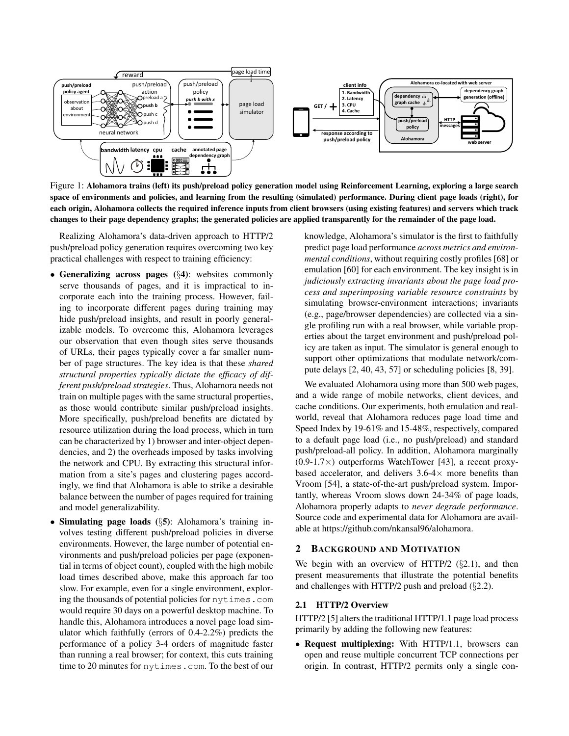

Figure 1: Alohamora trains (left) its push/preload policy generation model using Reinforcement Learning, exploring a large search space of environments and policies, and learning from the resulting (simulated) performance. During client page loads (right), for each origin, Alohamora collects the required inference inputs from client browsers (using existing features) and servers which track changes to their page dependency graphs; the generated policies are applied transparently for the remainder of the page load.

Realizing Alohamora's data-driven approach to HTTP/2 push/preload policy generation requires overcoming two key practical challenges with respect to training efficiency:

- Generalizing across pages (§4): websites commonly serve thousands of pages, and it is impractical to incorporate each into the training process. However, failing to incorporate different pages during training may hide push/preload insights, and result in poorly generalizable models. To overcome this, Alohamora leverages our observation that even though sites serve thousands of URLs, their pages typically cover a far smaller number of page structures. The key idea is that these *shared structural properties typically dictate the efficacy of different push/preload strategies*. Thus, Alohamora needs not train on multiple pages with the same structural properties, as those would contribute similar push/preload insights. More specifically, push/preload benefits are dictated by resource utilization during the load process, which in turn can be characterized by 1) browser and inter-object dependencies, and 2) the overheads imposed by tasks involving the network and CPU. By extracting this structural information from a site's pages and clustering pages accordingly, we find that Alohamora is able to strike a desirable balance between the number of pages required for training and model generalizability.
- Simulating page loads (§5): Alohamora's training involves testing different push/preload policies in diverse environments. However, the large number of potential environments and push/preload policies per page (exponential in terms of object count), coupled with the high mobile load times described above, make this approach far too slow. For example, even for a single environment, exploring the thousands of potential policies for nytimes.com would require 30 days on a powerful desktop machine. To handle this, Alohamora introduces a novel page load simulator which faithfully (errors of 0.4-2.2%) predicts the performance of a policy 3-4 orders of magnitude faster than running a real browser; for context, this cuts training time to 20 minutes for nytimes.com. To the best of our

knowledge, Alohamora's simulator is the first to faithfully predict page load performance *across metrics and environmental conditions*, without requiring costly profiles [68] or emulation [60] for each environment. The key insight is in *judiciously extracting invariants about the page load process and superimposing variable resource constraints* by simulating browser-environment interactions; invariants (e.g., page/browser dependencies) are collected via a single profiling run with a real browser, while variable properties about the target environment and push/preload policy are taken as input. The simulator is general enough to support other optimizations that modulate network/compute delays [2, 40, 43, 57] or scheduling policies [8, 39].

We evaluated Alohamora using more than 500 web pages, and a wide range of mobile networks, client devices, and cache conditions. Our experiments, both emulation and realworld, reveal that Alohamora reduces page load time and Speed Index by 19-61% and 15-48%, respectively, compared to a default page load (i.e., no push/preload) and standard push/preload-all policy. In addition, Alohamora marginally  $(0.9-1.7\times)$  outperforms WatchTower [43], a recent proxybased accelerator, and delivers  $3.6-4\times$  more benefits than Vroom [54], a state-of-the-art push/preload system. Importantly, whereas Vroom slows down 24-34% of page loads, Alohamora properly adapts to *never degrade performance*. Source code and experimental data for Alohamora are available at https://github.com/nkansal96/alohamora.

## 2 BACKGROUND AND MOTIVATION

We begin with an overview of HTTP/2 (§2.1), and then present measurements that illustrate the potential benefits and challenges with HTTP/2 push and preload (§2.2).

#### 2.1 HTTP/2 Overview

HTTP/2 [5] alters the traditional HTTP/1.1 page load process primarily by adding the following new features:

• Request multiplexing: With HTTP/1.1, browsers can open and reuse multiple concurrent TCP connections per origin. In contrast, HTTP/2 permits only a single con-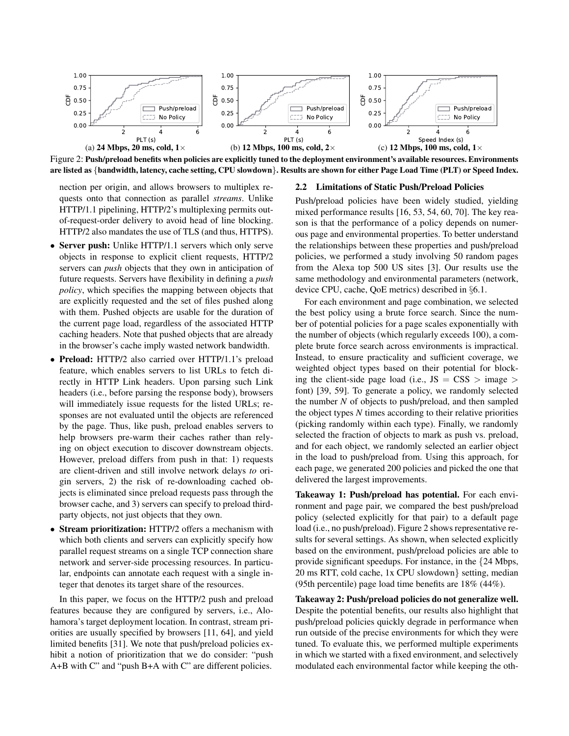

Figure 2: Push/preload benefits when policies are explicitly tuned to the deployment environment's available resources. Environments are listed as {bandwidth, latency, cache setting, CPU slowdown}. Results are shown for either Page Load Time (PLT) or Speed Index.

nection per origin, and allows browsers to multiplex requests onto that connection as parallel *streams*. Unlike HTTP/1.1 pipelining, HTTP/2's multiplexing permits outof-request-order delivery to avoid head of line blocking. HTTP/2 also mandates the use of TLS (and thus, HTTPS).

- Server push: Unlike HTTP/1.1 servers which only serve objects in response to explicit client requests, HTTP/2 servers can *push* objects that they own in anticipation of future requests. Servers have flexibility in defining a *push policy*, which specifies the mapping between objects that are explicitly requested and the set of files pushed along with them. Pushed objects are usable for the duration of the current page load, regardless of the associated HTTP caching headers. Note that pushed objects that are already in the browser's cache imply wasted network bandwidth.
- Preload: HTTP/2 also carried over HTTP/1.1's preload feature, which enables servers to list URLs to fetch directly in HTTP Link headers. Upon parsing such Link headers (i.e., before parsing the response body), browsers will immediately issue requests for the listed URLs; responses are not evaluated until the objects are referenced by the page. Thus, like push, preload enables servers to help browsers pre-warm their caches rather than relying on object execution to discover downstream objects. However, preload differs from push in that: 1) requests are client-driven and still involve network delays *to* origin servers, 2) the risk of re-downloading cached objects is eliminated since preload requests pass through the browser cache, and 3) servers can specify to preload thirdparty objects, not just objects that they own.
- Stream prioritization: HTTP/2 offers a mechanism with which both clients and servers can explicitly specify how parallel request streams on a single TCP connection share network and server-side processing resources. In particular, endpoints can annotate each request with a single integer that denotes its target share of the resources.

In this paper, we focus on the HTTP/2 push and preload features because they are configured by servers, i.e., Alohamora's target deployment location. In contrast, stream priorities are usually specified by browsers [11, 64], and yield limited benefits [31]. We note that push/preload policies exhibit a notion of prioritization that we do consider: "push A+B with C" and "push B+A with C" are different policies.

#### 2.2 Limitations of Static Push/Preload Policies

Push/preload policies have been widely studied, yielding mixed performance results [16, 53, 54, 60, 70]. The key reason is that the performance of a policy depends on numerous page and environmental properties. To better understand the relationships between these properties and push/preload policies, we performed a study involving 50 random pages from the Alexa top 500 US sites [3]. Our results use the same methodology and environmental parameters (network, device CPU, cache, QoE metrics) described in §6.1.

For each environment and page combination, we selected the best policy using a brute force search. Since the number of potential policies for a page scales exponentially with the number of objects (which regularly exceeds 100), a complete brute force search across environments is impractical. Instead, to ensure practicality and sufficient coverage, we weighted object types based on their potential for blocking the client-side page load (i.e.,  $JS = CSS$ ) image > font) [39, 59]. To generate a policy, we randomly selected the number *N* of objects to push/preload, and then sampled the object types *N* times according to their relative priorities (picking randomly within each type). Finally, we randomly selected the fraction of objects to mark as push vs. preload, and for each object, we randomly selected an earlier object in the load to push/preload from. Using this approach, for each page, we generated 200 policies and picked the one that delivered the largest improvements.

Takeaway 1: Push/preload has potential. For each environment and page pair, we compared the best push/preload policy (selected explicitly for that pair) to a default page load (i.e., no push/preload). Figure 2 shows representative results for several settings. As shown, when selected explicitly based on the environment, push/preload policies are able to provide significant speedups. For instance, in the {24 Mbps, 20 ms RTT, cold cache, 1x CPU slowdown} setting, median (95th percentile) page load time benefits are 18% (44%).

Takeaway 2: Push/preload policies do not generalize well. Despite the potential benefits, our results also highlight that push/preload policies quickly degrade in performance when run outside of the precise environments for which they were tuned. To evaluate this, we performed multiple experiments in which we started with a fixed environment, and selectively modulated each environmental factor while keeping the oth-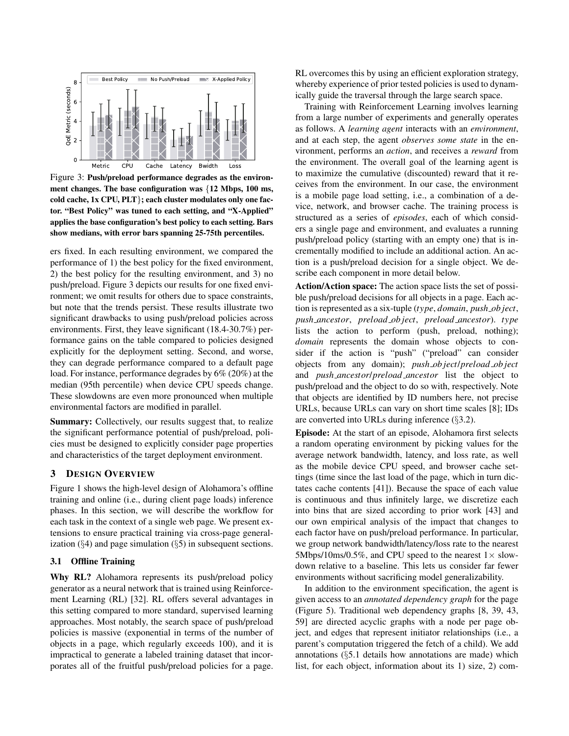

Figure 3: Push/preload performance degrades as the environment changes. The base configuration was {12 Mbps, 100 ms, cold cache, 1x CPU, PLT}; each cluster modulates only one factor. "Best Policy" was tuned to each setting, and "X-Applied" applies the base configuration's best policy to each setting. Bars show medians, with error bars spanning 25-75th percentiles.

ers fixed. In each resulting environment, we compared the performance of 1) the best policy for the fixed environment, 2) the best policy for the resulting environment, and 3) no push/preload. Figure 3 depicts our results for one fixed environment; we omit results for others due to space constraints, but note that the trends persist. These results illustrate two significant drawbacks to using push/preload policies across environments. First, they leave significant (18.4-30.7%) performance gains on the table compared to policies designed explicitly for the deployment setting. Second, and worse, they can degrade performance compared to a default page load. For instance, performance degrades by 6% (20%) at the median (95th percentile) when device CPU speeds change. These slowdowns are even more pronounced when multiple environmental factors are modified in parallel.

Summary: Collectively, our results suggest that, to realize the significant performance potential of push/preload, policies must be designed to explicitly consider page properties and characteristics of the target deployment environment.

## 3 DESIGN OVERVIEW

Figure 1 shows the high-level design of Alohamora's offline training and online (i.e., during client page loads) inference phases. In this section, we will describe the workflow for each task in the context of a single web page. We present extensions to ensure practical training via cross-page generalization  $(\S 4)$  and page simulation  $(\S 5)$  in subsequent sections.

## 3.1 Offline Training

Why RL? Alohamora represents its push/preload policy generator as a neural network that is trained using Reinforcement Learning (RL) [32]. RL offers several advantages in this setting compared to more standard, supervised learning approaches. Most notably, the search space of push/preload policies is massive (exponential in terms of the number of objects in a page, which regularly exceeds 100), and it is impractical to generate a labeled training dataset that incorporates all of the fruitful push/preload policies for a page.

RL overcomes this by using an efficient exploration strategy, whereby experience of prior tested policies is used to dynamically guide the traversal through the large search space.

Training with Reinforcement Learning involves learning from a large number of experiments and generally operates as follows. A *learning agent* interacts with an *environment*, and at each step, the agent *observes some state* in the environment, performs an *action*, and receives a *reward* from the environment. The overall goal of the learning agent is to maximize the cumulative (discounted) reward that it receives from the environment. In our case, the environment is a mobile page load setting, i.e., a combination of a device, network, and browser cache. The training process is structured as a series of *episodes*, each of which considers a single page and environment, and evaluates a running push/preload policy (starting with an empty one) that is incrementally modified to include an additional action. An action is a push/preload decision for a single object. We describe each component in more detail below.

Action/Action space: The action space lists the set of possible push/preload decisions for all objects in a page. Each action is represented as a six-tuple (*type*, *domain*, *push ob ject*, *push ancestor*, *preload ob ject*, *preload ancestor*). *type* lists the action to perform (push, preload, nothing); *domain* represents the domain whose objects to consider if the action is "push" ("preload" can consider objects from any domain); *push ob ject*/*preload ob ject* and *push ancestor*/*preload ancestor* list the object to push/preload and the object to do so with, respectively. Note that objects are identified by ID numbers here, not precise URLs, because URLs can vary on short time scales [8]; IDs are converted into URLs during inference (§3.2).

Episode: At the start of an episode, Alohamora first selects a random operating environment by picking values for the average network bandwidth, latency, and loss rate, as well as the mobile device CPU speed, and browser cache settings (time since the last load of the page, which in turn dictates cache contents [41]). Because the space of each value is continuous and thus infinitely large, we discretize each into bins that are sized according to prior work [43] and our own empirical analysis of the impact that changes to each factor have on push/preload performance. In particular, we group network bandwidth/latency/loss rate to the nearest 5Mbps/10ms/0.5%, and CPU speed to the nearest  $1 \times$  slowdown relative to a baseline. This lets us consider far fewer environments without sacrificing model generalizability.

In addition to the environment specification, the agent is given access to an *annotated dependency graph* for the page (Figure 5). Traditional web dependency graphs [8, 39, 43, 59] are directed acyclic graphs with a node per page object, and edges that represent initiator relationships (i.e., a parent's computation triggered the fetch of a child). We add annotations (§5.1 details how annotations are made) which list, for each object, information about its 1) size, 2) com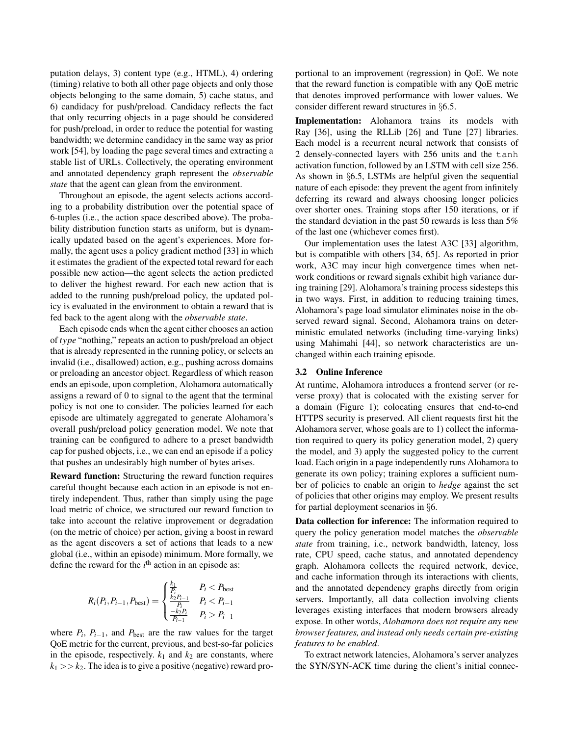putation delays, 3) content type (e.g., HTML), 4) ordering (timing) relative to both all other page objects and only those objects belonging to the same domain, 5) cache status, and 6) candidacy for push/preload. Candidacy reflects the fact that only recurring objects in a page should be considered for push/preload, in order to reduce the potential for wasting bandwidth; we determine candidacy in the same way as prior work [54], by loading the page several times and extracting a stable list of URLs. Collectively, the operating environment and annotated dependency graph represent the *observable state* that the agent can glean from the environment.

Throughout an episode, the agent selects actions according to a probability distribution over the potential space of 6-tuples (i.e., the action space described above). The probability distribution function starts as uniform, but is dynamically updated based on the agent's experiences. More formally, the agent uses a policy gradient method [33] in which it estimates the gradient of the expected total reward for each possible new action—the agent selects the action predicted to deliver the highest reward. For each new action that is added to the running push/preload policy, the updated policy is evaluated in the environment to obtain a reward that is fed back to the agent along with the *observable state*.

Each episode ends when the agent either chooses an action of *type* "nothing," repeats an action to push/preload an object that is already represented in the running policy, or selects an invalid (i.e., disallowed) action, e.g., pushing across domains or preloading an ancestor object. Regardless of which reason ends an episode, upon completion, Alohamora automatically assigns a reward of 0 to signal to the agent that the terminal policy is not one to consider. The policies learned for each episode are ultimately aggregated to generate Alohamora's overall push/preload policy generation model. We note that training can be configured to adhere to a preset bandwidth cap for pushed objects, i.e., we can end an episode if a policy that pushes an undesirably high number of bytes arises.

Reward function: Structuring the reward function requires careful thought because each action in an episode is not entirely independent. Thus, rather than simply using the page load metric of choice, we structured our reward function to take into account the relative improvement or degradation (on the metric of choice) per action, giving a boost in reward as the agent discovers a set of actions that leads to a new global (i.e., within an episode) minimum. More formally, we define the reward for the  $i<sup>th</sup>$  action in an episode as:

$$
R_i(P_i, P_{i-1}, P_{\text{best}}) = \begin{cases} \frac{k_1}{P_i} & P_i < P_{\text{best}}\\ \frac{k_2 P_{i-1}}{P_i} & P_i < P_{i-1} \\ \frac{-k_2 P_i}{P_{i-1}} & P_i > P_{i-1} \end{cases}
$$

where  $P_i$ ,  $P_{i-1}$ , and  $P_{\text{best}}$  are the raw values for the target QoE metric for the current, previous, and best-so-far policies in the episode, respectively.  $k_1$  and  $k_2$  are constants, where  $k_1 >> k_2$ . The idea is to give a positive (negative) reward proportional to an improvement (regression) in QoE. We note that the reward function is compatible with any QoE metric that denotes improved performance with lower values. We consider different reward structures in §6.5.

Implementation: Alohamora trains its models with Ray [36], using the RLLib [26] and Tune [27] libraries. Each model is a recurrent neural network that consists of 2 densely-connected layers with 256 units and the tanh activation function, followed by an LSTM with cell size 256. As shown in §6.5, LSTMs are helpful given the sequential nature of each episode: they prevent the agent from infinitely deferring its reward and always choosing longer policies over shorter ones. Training stops after 150 iterations, or if the standard deviation in the past 50 rewards is less than 5% of the last one (whichever comes first).

Our implementation uses the latest A3C [33] algorithm, but is compatible with others [34, 65]. As reported in prior work, A3C may incur high convergence times when network conditions or reward signals exhibit high variance during training [29]. Alohamora's training process sidesteps this in two ways. First, in addition to reducing training times, Alohamora's page load simulator eliminates noise in the observed reward signal. Second, Alohamora trains on deterministic emulated networks (including time-varying links) using Mahimahi [44], so network characteristics are unchanged within each training episode.

#### 3.2 Online Inference

At runtime, Alohamora introduces a frontend server (or reverse proxy) that is colocated with the existing server for a domain (Figure 1); colocating ensures that end-to-end HTTPS security is preserved. All client requests first hit the Alohamora server, whose goals are to 1) collect the information required to query its policy generation model, 2) query the model, and 3) apply the suggested policy to the current load. Each origin in a page independently runs Alohamora to generate its own policy; training explores a sufficient number of policies to enable an origin to *hedge* against the set of policies that other origins may employ. We present results for partial deployment scenarios in §6.

Data collection for inference: The information required to query the policy generation model matches the *observable state* from training, i.e., network bandwidth, latency, loss rate, CPU speed, cache status, and annotated dependency graph. Alohamora collects the required network, device, and cache information through its interactions with clients, and the annotated dependency graphs directly from origin servers. Importantly, all data collection involving clients leverages existing interfaces that modern browsers already expose. In other words, *Alohamora does not require any new browser features, and instead only needs certain pre-existing features to be enabled*.

To extract network latencies, Alohamora's server analyzes the SYN/SYN-ACK time during the client's initial connec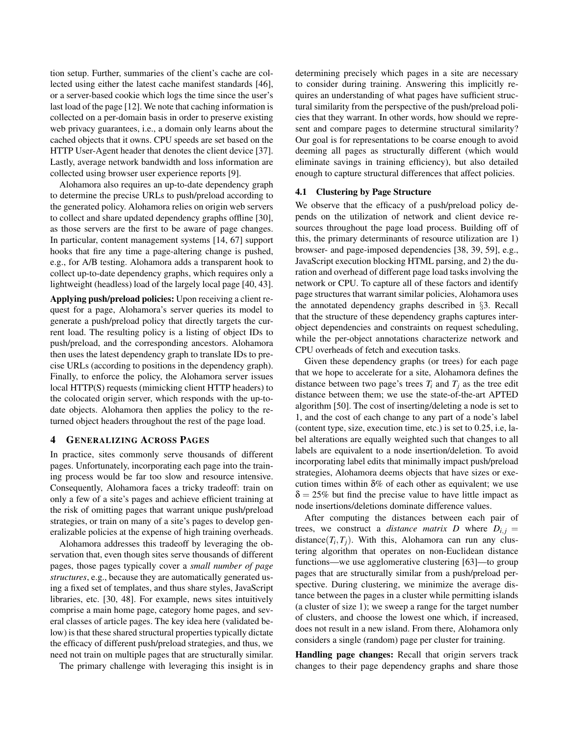tion setup. Further, summaries of the client's cache are collected using either the latest cache manifest standards [46], or a server-based cookie which logs the time since the user's last load of the page [12]. We note that caching information is collected on a per-domain basis in order to preserve existing web privacy guarantees, i.e., a domain only learns about the cached objects that it owns. CPU speeds are set based on the HTTP User-Agent header that denotes the client device [37]. Lastly, average network bandwidth and loss information are collected using browser user experience reports [9].

Alohamora also requires an up-to-date dependency graph to determine the precise URLs to push/preload according to the generated policy. Alohamora relies on origin web servers to collect and share updated dependency graphs offline [30], as those servers are the first to be aware of page changes. In particular, content management systems [14, 67] support hooks that fire any time a page-altering change is pushed, e.g., for A/B testing. Alohamora adds a transparent hook to collect up-to-date dependency graphs, which requires only a lightweight (headless) load of the largely local page [40, 43].

Applying push/preload policies: Upon receiving a client request for a page, Alohamora's server queries its model to generate a push/preload policy that directly targets the current load. The resulting policy is a listing of object IDs to push/preload, and the corresponding ancestors. Alohamora then uses the latest dependency graph to translate IDs to precise URLs (according to positions in the dependency graph). Finally, to enforce the policy, the Alohamora server issues local HTTP(S) requests (mimicking client HTTP headers) to the colocated origin server, which responds with the up-todate objects. Alohamora then applies the policy to the returned object headers throughout the rest of the page load.

## 4 GENERALIZING ACROSS PAGES

In practice, sites commonly serve thousands of different pages. Unfortunately, incorporating each page into the training process would be far too slow and resource intensive. Consequently, Alohamora faces a tricky tradeoff: train on only a few of a site's pages and achieve efficient training at the risk of omitting pages that warrant unique push/preload strategies, or train on many of a site's pages to develop generalizable policies at the expense of high training overheads.

Alohamora addresses this tradeoff by leveraging the observation that, even though sites serve thousands of different pages, those pages typically cover a *small number of page structures*, e.g., because they are automatically generated using a fixed set of templates, and thus share styles, JavaScript libraries, etc. [30, 48]. For example, news sites intuitively comprise a main home page, category home pages, and several classes of article pages. The key idea here (validated below) is that these shared structural properties typically dictate the efficacy of different push/preload strategies, and thus, we need not train on multiple pages that are structurally similar.

The primary challenge with leveraging this insight is in

determining precisely which pages in a site are necessary to consider during training. Answering this implicitly requires an understanding of what pages have sufficient structural similarity from the perspective of the push/preload policies that they warrant. In other words, how should we represent and compare pages to determine structural similarity? Our goal is for representations to be coarse enough to avoid deeming all pages as structurally different (which would eliminate savings in training efficiency), but also detailed enough to capture structural differences that affect policies.

## 4.1 Clustering by Page Structure

We observe that the efficacy of a push/preload policy depends on the utilization of network and client device resources throughout the page load process. Building off of this, the primary determinants of resource utilization are 1) browser- and page-imposed dependencies [38, 39, 59], e.g., JavaScript execution blocking HTML parsing, and 2) the duration and overhead of different page load tasks involving the network or CPU. To capture all of these factors and identify page structures that warrant similar policies, Alohamora uses the annotated dependency graphs described in §3. Recall that the structure of these dependency graphs captures interobject dependencies and constraints on request scheduling, while the per-object annotations characterize network and CPU overheads of fetch and execution tasks.

Given these dependency graphs (or trees) for each page that we hope to accelerate for a site, Alohamora defines the distance between two page's trees  $T_i$  and  $T_j$  as the tree edit distance between them; we use the state-of-the-art APTED algorithm [50]. The cost of inserting/deleting a node is set to 1, and the cost of each change to any part of a node's label (content type, size, execution time, etc.) is set to 0.25, i.e, label alterations are equally weighted such that changes to all labels are equivalent to a node insertion/deletion. To avoid incorporating label edits that minimally impact push/preload strategies, Alohamora deems objects that have sizes or execution times within  $\delta\%$  of each other as equivalent; we use  $\delta = 25\%$  but find the precise value to have little impact as node insertions/deletions dominate difference values.

After computing the distances between each pair of trees, we construct a *distance matrix D* where  $D_{i,j} =$ distance $(T_i, T_j)$ . With this, Alohamora can run any clustering algorithm that operates on non-Euclidean distance functions—we use agglomerative clustering [63]—to group pages that are structurally similar from a push/preload perspective. During clustering, we minimize the average distance between the pages in a cluster while permitting islands (a cluster of size 1); we sweep a range for the target number of clusters, and choose the lowest one which, if increased, does not result in a new island. From there, Alohamora only considers a single (random) page per cluster for training.

Handling page changes: Recall that origin servers track changes to their page dependency graphs and share those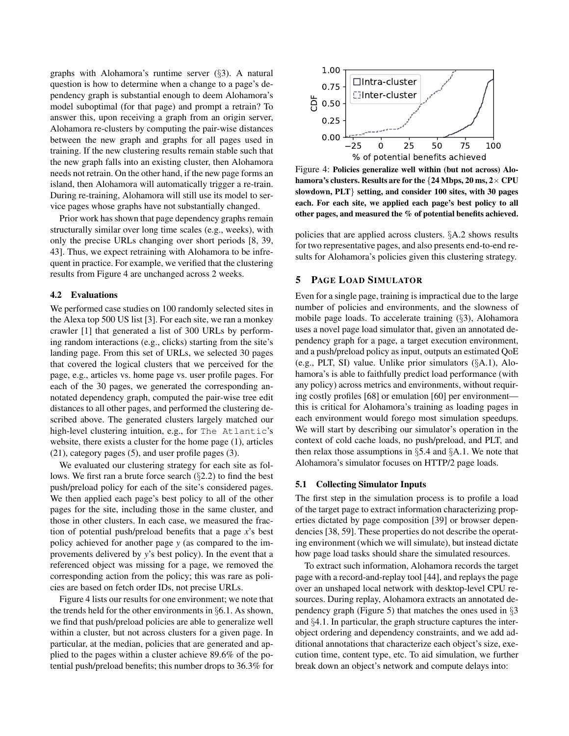graphs with Alohamora's runtime server (§3). A natural question is how to determine when a change to a page's dependency graph is substantial enough to deem Alohamora's model suboptimal (for that page) and prompt a retrain? To answer this, upon receiving a graph from an origin server, Alohamora re-clusters by computing the pair-wise distances between the new graph and graphs for all pages used in training. If the new clustering results remain stable such that the new graph falls into an existing cluster, then Alohamora needs not retrain. On the other hand, if the new page forms an island, then Alohamora will automatically trigger a re-train. During re-training, Alohamora will still use its model to service pages whose graphs have not substantially changed.

Prior work has shown that page dependency graphs remain structurally similar over long time scales (e.g., weeks), with only the precise URLs changing over short periods [8, 39, 43]. Thus, we expect retraining with Alohamora to be infrequent in practice. For example, we verified that the clustering results from Figure 4 are unchanged across 2 weeks.

#### 4.2 Evaluations

We performed case studies on 100 randomly selected sites in the Alexa top 500 US list [3]. For each site, we ran a monkey crawler [1] that generated a list of 300 URLs by performing random interactions (e.g., clicks) starting from the site's landing page. From this set of URLs, we selected 30 pages that covered the logical clusters that we perceived for the page, e.g., articles vs. home page vs. user profile pages. For each of the 30 pages, we generated the corresponding annotated dependency graph, computed the pair-wise tree edit distances to all other pages, and performed the clustering described above. The generated clusters largely matched our high-level clustering intuition, e.g., for The Atlantic's website, there exists a cluster for the home page (1), articles (21), category pages (5), and user profile pages (3).

We evaluated our clustering strategy for each site as follows. We first ran a brute force search (§2.2) to find the best push/preload policy for each of the site's considered pages. We then applied each page's best policy to all of the other pages for the site, including those in the same cluster, and those in other clusters. In each case, we measured the fraction of potential push/preload benefits that a page *x*'s best policy achieved for another page *y* (as compared to the improvements delivered by *y*'s best policy). In the event that a referenced object was missing for a page, we removed the corresponding action from the policy; this was rare as policies are based on fetch order IDs, not precise URLs.

Figure 4 lists our results for one environment; we note that the trends held for the other environments in §6.1. As shown, we find that push/preload policies are able to generalize well within a cluster, but not across clusters for a given page. In particular, at the median, policies that are generated and applied to the pages within a cluster achieve 89.6% of the potential push/preload benefits; this number drops to 36.3% for



Figure 4: Policies generalize well within (but not across) Alohamora's clusters. Results are for the {24 Mbps, 20 ms, 2× CPU slowdown, PLT} setting, and consider 100 sites, with 30 pages each. For each site, we applied each page's best policy to all other pages, and measured the % of potential benefits achieved.

policies that are applied across clusters. §A.2 shows results for two representative pages, and also presents end-to-end results for Alohamora's policies given this clustering strategy.

#### 5 PAGE LOAD SIMULATOR

Even for a single page, training is impractical due to the large number of policies and environments, and the slowness of mobile page loads. To accelerate training (§3), Alohamora uses a novel page load simulator that, given an annotated dependency graph for a page, a target execution environment, and a push/preload policy as input, outputs an estimated QoE (e.g., PLT, SI) value. Unlike prior simulators (§A.1), Alohamora's is able to faithfully predict load performance (with any policy) across metrics and environments, without requiring costly profiles [68] or emulation [60] per environment this is critical for Alohamora's training as loading pages in each environment would forego most simulation speedups. We will start by describing our simulator's operation in the context of cold cache loads, no push/preload, and PLT, and then relax those assumptions in  $\S$ 5.4 and  $\S$ A.1. We note that Alohamora's simulator focuses on HTTP/2 page loads.

#### 5.1 Collecting Simulator Inputs

The first step in the simulation process is to profile a load of the target page to extract information characterizing properties dictated by page composition [39] or browser dependencies [38, 59]. These properties do not describe the operating environment (which we will simulate), but instead dictate how page load tasks should share the simulated resources.

To extract such information, Alohamora records the target page with a record-and-replay tool [44], and replays the page over an unshaped local network with desktop-level CPU resources. During replay, Alohamora extracts an annotated dependency graph (Figure 5) that matches the ones used in  $\S$ 3 and §4.1. In particular, the graph structure captures the interobject ordering and dependency constraints, and we add additional annotations that characterize each object's size, execution time, content type, etc. To aid simulation, we further break down an object's network and compute delays into: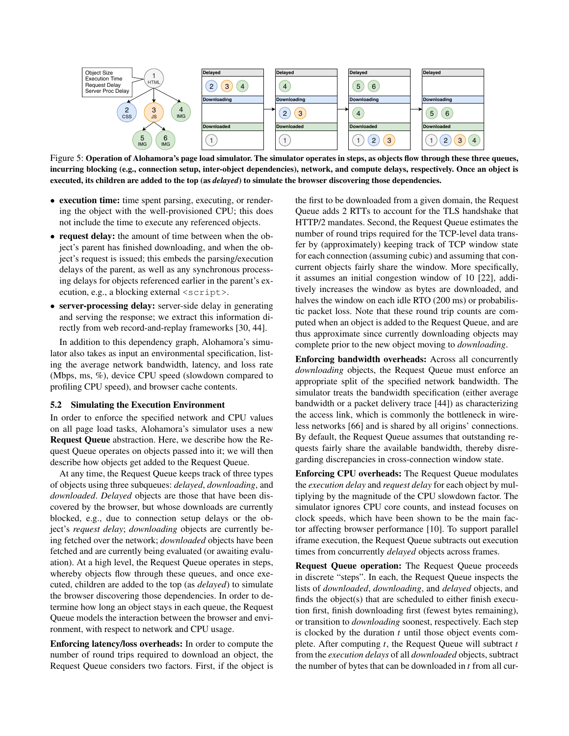

Figure 5: Operation of Alohamora's page load simulator. The simulator operates in steps, as objects flow through these three queues, incurring blocking (e.g., connection setup, inter-object dependencies), network, and compute delays, respectively. Once an object is executed, its children are added to the top (as *delayed*) to simulate the browser discovering those dependencies.

- execution time: time spent parsing, executing, or rendering the object with the well-provisioned CPU; this does not include the time to execute any referenced objects.
- request delay: the amount of time between when the object's parent has finished downloading, and when the object's request is issued; this embeds the parsing/execution delays of the parent, as well as any synchronous processing delays for objects referenced earlier in the parent's execution, e.g., a blocking external <script>.
- server-processing delay: server-side delay in generating and serving the response; we extract this information directly from web record-and-replay frameworks [30, 44].

In addition to this dependency graph, Alohamora's simulator also takes as input an environmental specification, listing the average network bandwidth, latency, and loss rate (Mbps, ms, %), device CPU speed (slowdown compared to profiling CPU speed), and browser cache contents.

#### 5.2 Simulating the Execution Environment

In order to enforce the specified network and CPU values on all page load tasks, Alohamora's simulator uses a new Request Queue abstraction. Here, we describe how the Request Queue operates on objects passed into it; we will then describe how objects get added to the Request Queue.

At any time, the Request Queue keeps track of three types of objects using three subqueues: *delayed*, *downloading*, and *downloaded*. *Delayed* objects are those that have been discovered by the browser, but whose downloads are currently blocked, e.g., due to connection setup delays or the object's *request delay*; *downloading* objects are currently being fetched over the network; *downloaded* objects have been fetched and are currently being evaluated (or awaiting evaluation). At a high level, the Request Queue operates in steps, whereby objects flow through these queues, and once executed, children are added to the top (as *delayed*) to simulate the browser discovering those dependencies. In order to determine how long an object stays in each queue, the Request Queue models the interaction between the browser and environment, with respect to network and CPU usage.

Enforcing latency/loss overheads: In order to compute the number of round trips required to download an object, the Request Queue considers two factors. First, if the object is

the first to be downloaded from a given domain, the Request Queue adds 2 RTTs to account for the TLS handshake that HTTP/2 mandates. Second, the Request Queue estimates the number of round trips required for the TCP-level data transfer by (approximately) keeping track of TCP window state for each connection (assuming cubic) and assuming that concurrent objects fairly share the window. More specifically, it assumes an initial congestion window of 10 [22], additively increases the window as bytes are downloaded, and halves the window on each idle RTO (200 ms) or probabilistic packet loss. Note that these round trip counts are computed when an object is added to the Request Queue, and are thus approximate since currently downloading objects may complete prior to the new object moving to *downloading*.

Enforcing bandwidth overheads: Across all concurrently *downloading* objects, the Request Queue must enforce an appropriate split of the specified network bandwidth. The simulator treats the bandwidth specification (either average bandwidth or a packet delivery trace [44]) as characterizing the access link, which is commonly the bottleneck in wireless networks [66] and is shared by all origins' connections. By default, the Request Queue assumes that outstanding requests fairly share the available bandwidth, thereby disregarding discrepancies in cross-connection window state.

Enforcing CPU overheads: The Request Queue modulates the *execution delay* and *request delay* for each object by multiplying by the magnitude of the CPU slowdown factor. The simulator ignores CPU core counts, and instead focuses on clock speeds, which have been shown to be the main factor affecting browser performance [10]. To support parallel iframe execution, the Request Queue subtracts out execution times from concurrently *delayed* objects across frames.

Request Queue operation: The Request Queue proceeds in discrete "steps". In each, the Request Queue inspects the lists of *downloaded*, *downloading*, and *delayed* objects, and finds the object(s) that are scheduled to either finish execution first, finish downloading first (fewest bytes remaining), or transition to *downloading* soonest, respectively. Each step is clocked by the duration *t* until those object events complete. After computing *t*, the Request Queue will subtract *t* from the *execution delays* of all *downloaded* objects, subtract the number of bytes that can be downloaded in *t* from all cur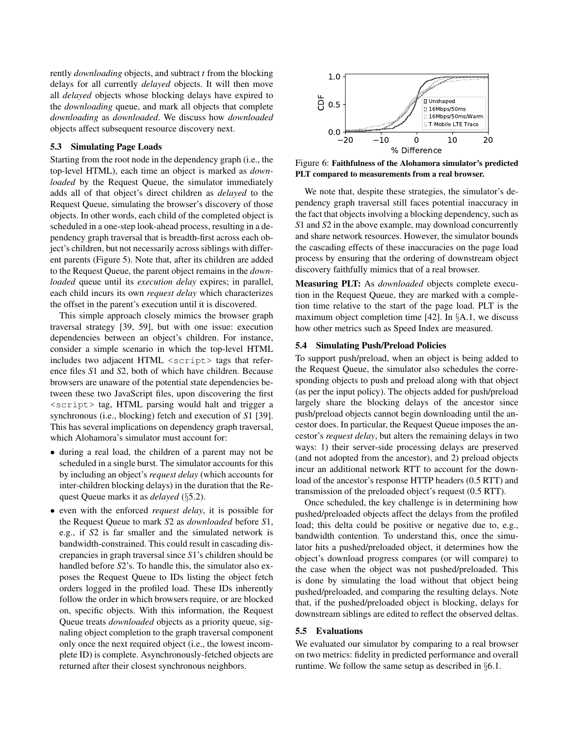rently *downloading* objects, and subtract *t* from the blocking delays for all currently *delayed* objects. It will then move all *delayed* objects whose blocking delays have expired to the *downloading* queue, and mark all objects that complete *downloading* as *downloaded*. We discuss how *downloaded* objects affect subsequent resource discovery next.

### 5.3 Simulating Page Loads

Starting from the root node in the dependency graph (i.e., the top-level HTML), each time an object is marked as *downloaded* by the Request Queue, the simulator immediately adds all of that object's direct children as *delayed* to the Request Queue, simulating the browser's discovery of those objects. In other words, each child of the completed object is scheduled in a one-step look-ahead process, resulting in a dependency graph traversal that is breadth-first across each object's children, but not necessarily across siblings with different parents (Figure 5). Note that, after its children are added to the Request Queue, the parent object remains in the *downloaded* queue until its *execution delay* expires; in parallel, each child incurs its own *request delay* which characterizes the offset in the parent's execution until it is discovered.

This simple approach closely mimics the browser graph traversal strategy [39, 59], but with one issue: execution dependencies between an object's children. For instance, consider a simple scenario in which the top-level HTML includes two adjacent  $HTML \leq \text{script}$  tags that reference files *S*1 and *S*2, both of which have children. Because browsers are unaware of the potential state dependencies between these two JavaScript files, upon discovering the first <script> tag, HTML parsing would halt and trigger a synchronous (i.e., blocking) fetch and execution of *S*1 [39]. This has several implications on dependency graph traversal, which Alohamora's simulator must account for:

- during a real load, the children of a parent may not be scheduled in a single burst. The simulator accounts for this by including an object's *request delay* (which accounts for inter-children blocking delays) in the duration that the Request Queue marks it as *delayed* (§5.2).
- even with the enforced *request delay*, it is possible for the Request Queue to mark *S*2 as *downloaded* before *S*1, e.g., if *S*2 is far smaller and the simulated network is bandwidth-constrained. This could result in cascading discrepancies in graph traversal since *S*1's children should be handled before *S*2's. To handle this, the simulator also exposes the Request Queue to IDs listing the object fetch orders logged in the profiled load. These IDs inherently follow the order in which browsers require, or are blocked on, specific objects. With this information, the Request Queue treats *downloaded* objects as a priority queue, signaling object completion to the graph traversal component only once the next required object (i.e., the lowest incomplete ID) is complete. Asynchronously-fetched objects are returned after their closest synchronous neighbors.



Figure 6: Faithfulness of the Alohamora simulator's predicted PLT compared to measurements from a real browser.

We note that, despite these strategies, the simulator's dependency graph traversal still faces potential inaccuracy in the fact that objects involving a blocking dependency, such as *S*1 and *S*2 in the above example, may download concurrently and share network resources. However, the simulator bounds the cascading effects of these inaccuracies on the page load process by ensuring that the ordering of downstream object discovery faithfully mimics that of a real browser.

Measuring PLT: As *downloaded* objects complete execution in the Request Queue, they are marked with a completion time relative to the start of the page load. PLT is the maximum object completion time [42]. In §A.1, we discuss how other metrics such as Speed Index are measured.

#### 5.4 Simulating Push/Preload Policies

To support push/preload, when an object is being added to the Request Queue, the simulator also schedules the corresponding objects to push and preload along with that object (as per the input policy). The objects added for push/preload largely share the blocking delays of the ancestor since push/preload objects cannot begin downloading until the ancestor does. In particular, the Request Queue imposes the ancestor's *request delay*, but alters the remaining delays in two ways: 1) their server-side processing delays are preserved (and not adopted from the ancestor), and 2) preload objects incur an additional network RTT to account for the download of the ancestor's response HTTP headers (0.5 RTT) and transmission of the preloaded object's request (0.5 RTT).

Once scheduled, the key challenge is in determining how pushed/preloaded objects affect the delays from the profiled load; this delta could be positive or negative due to, e.g., bandwidth contention. To understand this, once the simulator hits a pushed/preloaded object, it determines how the object's download progress compares (or will compare) to the case when the object was not pushed/preloaded. This is done by simulating the load without that object being pushed/preloaded, and comparing the resulting delays. Note that, if the pushed/preloaded object is blocking, delays for downstream siblings are edited to reflect the observed deltas.

### 5.5 Evaluations

We evaluated our simulator by comparing to a real browser on two metrics: fidelity in predicted performance and overall runtime. We follow the same setup as described in §6.1.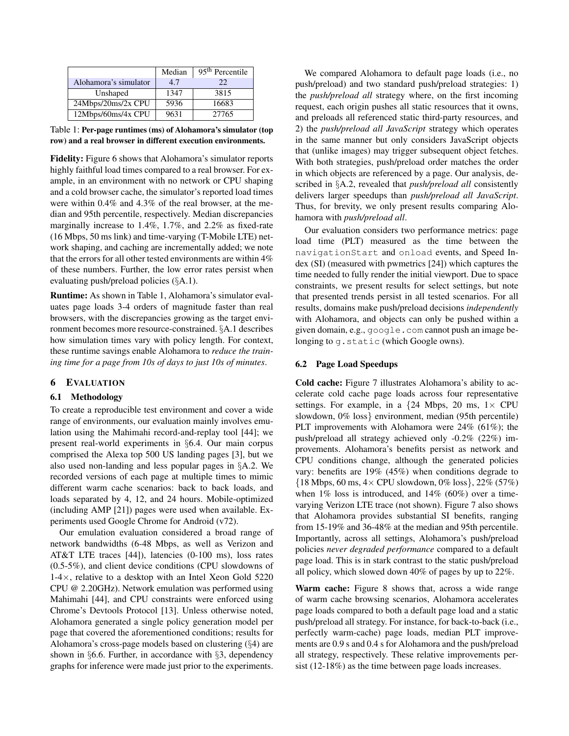|                       | Median | $\overline{95}$ <sup>th</sup> Percentile |
|-----------------------|--------|------------------------------------------|
| Alohamora's simulator | 4.7    | 22                                       |
| Unshaped              | 1347   | 3815                                     |
| 24Mbps/20ms/2x CPU    | 5936   | 16683                                    |
| 12Mbps/60ms/4x CPU    | 9631   | 27765                                    |

Table 1: Per-page runtimes (ms) of Alohamora's simulator (top row) and a real browser in different execution environments.

Fidelity: Figure 6 shows that Alohamora's simulator reports highly faithful load times compared to a real browser. For example, in an environment with no network or CPU shaping and a cold browser cache, the simulator's reported load times were within 0.4% and 4.3% of the real browser, at the median and 95th percentile, respectively. Median discrepancies marginally increase to 1.4%, 1.7%, and 2.2% as fixed-rate (16 Mbps, 50 ms link) and time-varying (T-Mobile LTE) network shaping, and caching are incrementally added; we note that the errors for all other tested environments are within 4% of these numbers. Further, the low error rates persist when evaluating push/preload policies (§A.1).

Runtime: As shown in Table 1, Alohamora's simulator evaluates page loads 3-4 orders of magnitude faster than real browsers, with the discrepancies growing as the target environment becomes more resource-constrained. §A.1 describes how simulation times vary with policy length. For context, these runtime savings enable Alohamora to *reduce the training time for a page from 10s of days to just 10s of minutes*.

## 6 EVALUATION

## 6.1 Methodology

To create a reproducible test environment and cover a wide range of environments, our evaluation mainly involves emulation using the Mahimahi record-and-replay tool [44]; we present real-world experiments in §6.4. Our main corpus comprised the Alexa top 500 US landing pages [3], but we also used non-landing and less popular pages in §A.2. We recorded versions of each page at multiple times to mimic different warm cache scenarios: back to back loads, and loads separated by 4, 12, and 24 hours. Mobile-optimized (including AMP [21]) pages were used when available. Experiments used Google Chrome for Android (v72).

Our emulation evaluation considered a broad range of network bandwidths (6-48 Mbps, as well as Verizon and AT&T LTE traces [44]), latencies (0-100 ms), loss rates (0.5-5%), and client device conditions (CPU slowdowns of 1-4×, relative to a desktop with an Intel Xeon Gold 5220 CPU @ 2.20GHz). Network emulation was performed using Mahimahi [44], and CPU constraints were enforced using Chrome's Devtools Protocol [13]. Unless otherwise noted, Alohamora generated a single policy generation model per page that covered the aforementioned conditions; results for Alohamora's cross-page models based on clustering (§4) are shown in §6.6. Further, in accordance with §3, dependency graphs for inference were made just prior to the experiments.

We compared Alohamora to default page loads (i.e., no push/preload) and two standard push/preload strategies: 1) the *push/preload all* strategy where, on the first incoming request, each origin pushes all static resources that it owns, and preloads all referenced static third-party resources, and 2) the *push/preload all JavaScript* strategy which operates in the same manner but only considers JavaScript objects that (unlike images) may trigger subsequent object fetches. With both strategies, push/preload order matches the order in which objects are referenced by a page. Our analysis, described in §A.2, revealed that *push/preload all* consistently delivers larger speedups than *push/preload all JavaScript*. Thus, for brevity, we only present results comparing Alohamora with *push/preload all*.

Our evaluation considers two performance metrics: page load time (PLT) measured as the time between the navigationStart and onload events, and Speed Index (SI) (measured with pwmetrics [24]) which captures the time needed to fully render the initial viewport. Due to space constraints, we present results for select settings, but note that presented trends persist in all tested scenarios. For all results, domains make push/preload decisions *independently* with Alohamora, and objects can only be pushed within a given domain, e.g., google.com cannot push an image belonging to g.static (which Google owns).

#### 6.2 Page Load Speedups

Cold cache: Figure 7 illustrates Alohamora's ability to accelerate cold cache page loads across four representative settings. For example, in a  $\{24 \text{ Mbps}, 20 \text{ ms}, 1 \times \text{CPU}\}$ slowdown, 0% loss} environment, median (95th percentile) PLT improvements with Alohamora were 24% (61%); the push/preload all strategy achieved only -0.2% (22%) improvements. Alohamora's benefits persist as network and CPU conditions change, although the generated policies vary: benefits are 19% (45%) when conditions degrade to  $\{18 \text{ Mbps}, 60 \text{ ms}, 4 \times CPU \text{ slowdown}, 0\% \text{ loss}\}, 22\% (57\%)$ when  $1\%$  loss is introduced, and  $14\%$  (60%) over a timevarying Verizon LTE trace (not shown). Figure 7 also shows that Alohamora provides substantial SI benefits, ranging from 15-19% and 36-48% at the median and 95th percentile. Importantly, across all settings, Alohamora's push/preload policies *never degraded performance* compared to a default page load. This is in stark contrast to the static push/preload all policy, which slowed down 40% of pages by up to 22%.

Warm cache: Figure 8 shows that, across a wide range of warm cache browsing scenarios, Alohamora accelerates page loads compared to both a default page load and a static push/preload all strategy. For instance, for back-to-back (i.e., perfectly warm-cache) page loads, median PLT improvements are 0.9 s and 0.4 s for Alohamora and the push/preload all strategy, respectively. These relative improvements persist (12-18%) as the time between page loads increases.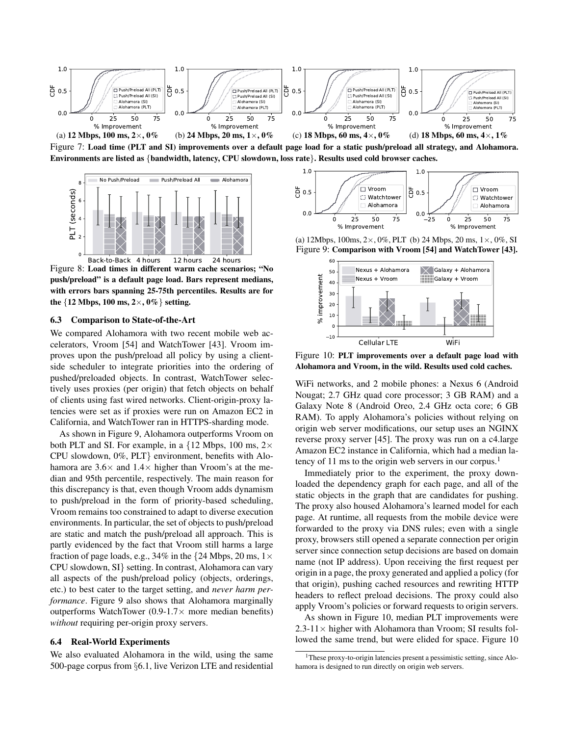

Figure 7: Load time (PLT and SI) improvements over a default page load for a static push/preload all strategy, and Alohamora. Environments are listed as {bandwidth, latency, CPU slowdown, loss rate}. Results used cold browser caches.



Figure 8: Load times in different warm cache scenarios; "No push/preload" is a default page load. Bars represent medians, with errors bars spanning 25-75th percentiles. Results are for the  $\{12 \text{ Mbps}, 100 \text{ ms}, 2 \times, 0\% \}$  setting.

#### 6.3 Comparison to State-of-the-Art

We compared Alohamora with two recent mobile web accelerators, Vroom [54] and WatchTower [43]. Vroom improves upon the push/preload all policy by using a clientside scheduler to integrate priorities into the ordering of pushed/preloaded objects. In contrast, WatchTower selectively uses proxies (per origin) that fetch objects on behalf of clients using fast wired networks. Client-origin-proxy latencies were set as if proxies were run on Amazon EC2 in California, and WatchTower ran in HTTPS-sharding mode.

As shown in Figure 9, Alohamora outperforms Vroom on both PLT and SI. For example, in a  $\{12 \text{ Mbps}, 100 \text{ ms}, 2 \times$ CPU slowdown, 0%, PLT} environment, benefits with Alohamora are  $3.6\times$  and  $1.4\times$  higher than Vroom's at the median and 95th percentile, respectively. The main reason for this discrepancy is that, even though Vroom adds dynamism to push/preload in the form of priority-based scheduling, Vroom remains too constrained to adapt to diverse execution environments. In particular, the set of objects to push/preload are static and match the push/preload all approach. This is partly evidenced by the fact that Vroom still harms a large fraction of page loads, e.g., 34% in the  $\{24 \text{ Mbps}, 20 \text{ ms}, 1 \times$ CPU slowdown, SI} setting. In contrast, Alohamora can vary all aspects of the push/preload policy (objects, orderings, etc.) to best cater to the target setting, and *never harm performance*. Figure 9 also shows that Alohamora marginally outperforms WatchTower  $(0.9-1.7\times$  more median benefits) *without* requiring per-origin proxy servers.

#### 6.4 Real-World Experiments

We also evaluated Alohamora in the wild, using the same 500-page corpus from §6.1, live Verizon LTE and residential



(a) 12Mbps, 100ms,  $2 \times$ , 0%, PLT (b) 24 Mbps, 20 ms,  $1 \times$ , 0%, SI Figure 9: Comparison with Vroom [54] and WatchTower [43].



Figure 10: PLT improvements over a default page load with Alohamora and Vroom, in the wild. Results used cold caches.

WiFi networks, and 2 mobile phones: a Nexus 6 (Android Nougat; 2.7 GHz quad core processor; 3 GB RAM) and a Galaxy Note 8 (Android Oreo, 2.4 GHz octa core; 6 GB RAM). To apply Alohamora's policies without relying on origin web server modifications, our setup uses an NGINX reverse proxy server [45]. The proxy was run on a c4.large Amazon EC2 instance in California, which had a median latency of 11 ms to the origin web servers in our corpus.<sup>1</sup>

Immediately prior to the experiment, the proxy downloaded the dependency graph for each page, and all of the static objects in the graph that are candidates for pushing. The proxy also housed Alohamora's learned model for each page. At runtime, all requests from the mobile device were forwarded to the proxy via DNS rules; even with a single proxy, browsers still opened a separate connection per origin server since connection setup decisions are based on domain name (not IP address). Upon receiving the first request per origin in a page, the proxy generated and applied a policy (for that origin), pushing cached resources and rewriting HTTP headers to reflect preload decisions. The proxy could also apply Vroom's policies or forward requests to origin servers.

As shown in Figure 10, median PLT improvements were  $2.3\n-11\times$  higher with Alohamora than Vroom; SI results followed the same trend, but were elided for space. Figure 10

<sup>&</sup>lt;sup>1</sup>These proxy-to-origin latencies present a pessimistic setting, since Alohamora is designed to run directly on origin web servers.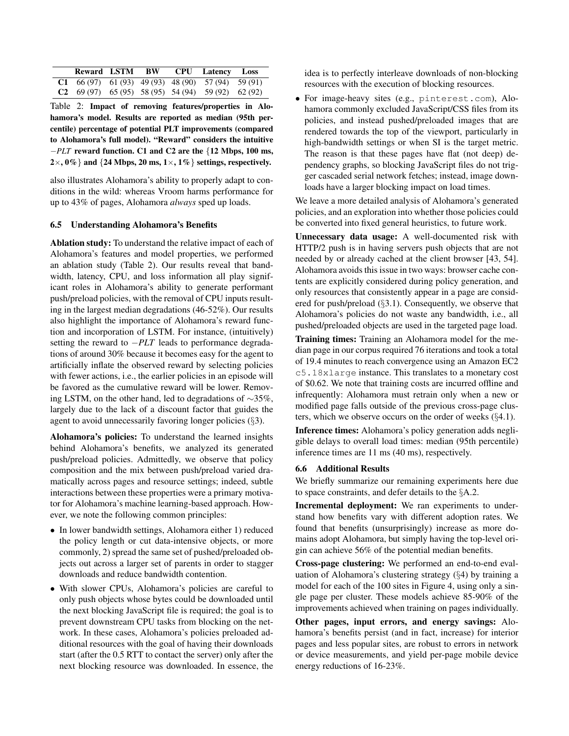|  |  | Reward LSTM BW CPU Latency Loss                           |  |
|--|--|-----------------------------------------------------------|--|
|  |  | <b>C1</b> 66 (97) 61 (93) 49 (93) 48 (90) 57 (94) 59 (91) |  |
|  |  | <b>C2</b> 69 (97) 65 (95) 58 (95) 54 (94) 59 (92) 62 (92) |  |

Table 2: Impact of removing features/properties in Alohamora's model. Results are reported as median (95th percentile) percentage of potential PLT improvements (compared to Alohamora's full model). "Reward" considers the intuitive −*PLT* reward function. C1 and C2 are the {12 Mbps, 100 ms,  $2\times$ , 0% } and {24 Mbps, 20 ms, 1 $\times$ , 1% } settings, respectively.

also illustrates Alohamora's ability to properly adapt to conditions in the wild: whereas Vroom harms performance for up to 43% of pages, Alohamora *always* sped up loads.

## 6.5 Understanding Alohamora's Benefits

Ablation study: To understand the relative impact of each of Alohamora's features and model properties, we performed an ablation study (Table 2). Our results reveal that bandwidth, latency, CPU, and loss information all play significant roles in Alohamora's ability to generate performant push/preload policies, with the removal of CPU inputs resulting in the largest median degradations (46-52%). Our results also highlight the importance of Alohamora's reward function and incorporation of LSTM. For instance, (intuitively) setting the reward to −*PLT* leads to performance degradations of around 30% because it becomes easy for the agent to artificially inflate the observed reward by selecting policies with fewer actions, i.e., the earlier policies in an episode will be favored as the cumulative reward will be lower. Removing LSTM, on the other hand, led to degradations of ∼35%, largely due to the lack of a discount factor that guides the agent to avoid unnecessarily favoring longer policies (§3).

Alohamora's policies: To understand the learned insights behind Alohamora's benefits, we analyzed its generated push/preload policies. Admittedly, we observe that policy composition and the mix between push/preload varied dramatically across pages and resource settings; indeed, subtle interactions between these properties were a primary motivator for Alohamora's machine learning-based approach. However, we note the following common principles:

- In lower bandwidth settings, Alohamora either 1) reduced the policy length or cut data-intensive objects, or more commonly, 2) spread the same set of pushed/preloaded objects out across a larger set of parents in order to stagger downloads and reduce bandwidth contention.
- With slower CPUs, Alohamora's policies are careful to only push objects whose bytes could be downloaded until the next blocking JavaScript file is required; the goal is to prevent downstream CPU tasks from blocking on the network. In these cases, Alohamora's policies preloaded additional resources with the goal of having their downloads start (after the 0.5 RTT to contact the server) only after the next blocking resource was downloaded. In essence, the

idea is to perfectly interleave downloads of non-blocking resources with the execution of blocking resources.

• For image-heavy sites (e.g., pinterest.com), Alohamora commonly excluded JavaScript/CSS files from its policies, and instead pushed/preloaded images that are rendered towards the top of the viewport, particularly in high-bandwidth settings or when SI is the target metric. The reason is that these pages have flat (not deep) dependency graphs, so blocking JavaScript files do not trigger cascaded serial network fetches; instead, image downloads have a larger blocking impact on load times.

We leave a more detailed analysis of Alohamora's generated policies, and an exploration into whether those policies could be converted into fixed general heuristics, to future work.

Unnecessary data usage: A well-documented risk with HTTP/2 push is in having servers push objects that are not needed by or already cached at the client browser [43, 54]. Alohamora avoids this issue in two ways: browser cache contents are explicitly considered during policy generation, and only resources that consistently appear in a page are considered for push/preload (§3.1). Consequently, we observe that Alohamora's policies do not waste any bandwidth, i.e., all pushed/preloaded objects are used in the targeted page load.

Training times: Training an Alohamora model for the median page in our corpus required 76 iterations and took a total of 19.4 minutes to reach convergence using an Amazon EC2 c5.18xlarge instance. This translates to a monetary cost of \$0.62. We note that training costs are incurred offline and infrequently: Alohamora must retrain only when a new or modified page falls outside of the previous cross-page clusters, which we observe occurs on the order of weeks (§4.1).

Inference times: Alohamora's policy generation adds negligible delays to overall load times: median (95th percentile) inference times are 11 ms (40 ms), respectively.

#### 6.6 Additional Results

We briefly summarize our remaining experiments here due to space constraints, and defer details to the §A.2.

Incremental deployment: We ran experiments to understand how benefits vary with different adoption rates. We found that benefits (unsurprisingly) increase as more domains adopt Alohamora, but simply having the top-level origin can achieve 56% of the potential median benefits.

Cross-page clustering: We performed an end-to-end evaluation of Alohamora's clustering strategy (§4) by training a model for each of the 100 sites in Figure 4, using only a single page per cluster. These models achieve 85-90% of the improvements achieved when training on pages individually.

Other pages, input errors, and energy savings: Alohamora's benefits persist (and in fact, increase) for interior pages and less popular sites, are robust to errors in network or device measurements, and yield per-page mobile device energy reductions of 16-23%.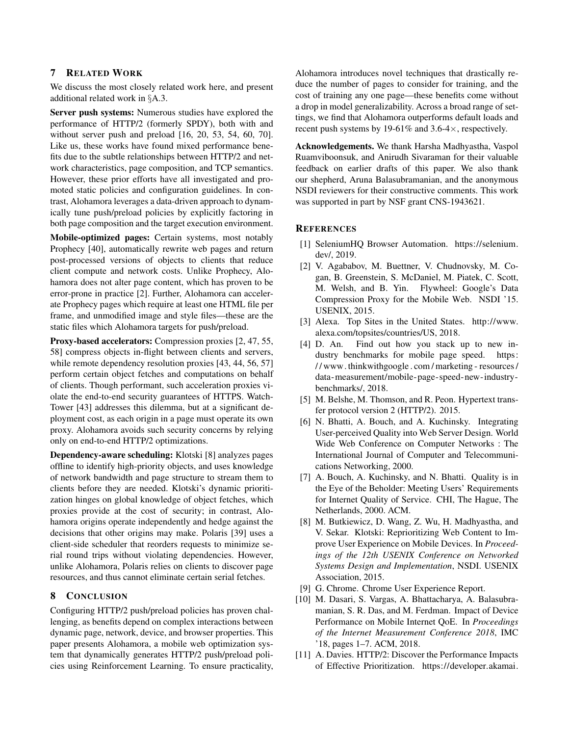## 7 RELATED WORK

We discuss the most closely related work here, and present additional related work in §A.3.

Server push systems: Numerous studies have explored the performance of HTTP/2 (formerly SPDY), both with and without server push and preload [16, 20, 53, 54, 60, 70]. Like us, these works have found mixed performance benefits due to the subtle relationships between HTTP/2 and network characteristics, page composition, and TCP semantics. However, these prior efforts have all investigated and promoted static policies and configuration guidelines. In contrast, Alohamora leverages a data-driven approach to dynamically tune push/preload policies by explicitly factoring in both page composition and the target execution environment.

Mobile-optimized pages: Certain systems, most notably Prophecy [40], automatically rewrite web pages and return post-processed versions of objects to clients that reduce client compute and network costs. Unlike Prophecy, Alohamora does not alter page content, which has proven to be error-prone in practice [2]. Further, Alohamora can accelerate Prophecy pages which require at least one HTML file per frame, and unmodified image and style files—these are the static files which Alohamora targets for push/preload.

Proxy-based accelerators: Compression proxies [2, 47, 55, 58] compress objects in-flight between clients and servers, while remote dependency resolution proxies [43, 44, 56, 57] perform certain object fetches and computations on behalf of clients. Though performant, such acceleration proxies violate the end-to-end security guarantees of HTTPS. Watch-Tower [43] addresses this dilemma, but at a significant deployment cost, as each origin in a page must operate its own proxy. Alohamora avoids such security concerns by relying only on end-to-end HTTP/2 optimizations.

Dependency-aware scheduling: Klotski [8] analyzes pages offline to identify high-priority objects, and uses knowledge of network bandwidth and page structure to stream them to clients before they are needed. Klotski's dynamic prioritization hinges on global knowledge of object fetches, which proxies provide at the cost of security; in contrast, Alohamora origins operate independently and hedge against the decisions that other origins may make. Polaris [39] uses a client-side scheduler that reorders requests to minimize serial round trips without violating dependencies. However, unlike Alohamora, Polaris relies on clients to discover page resources, and thus cannot eliminate certain serial fetches.

## 8 CONCLUSION

Configuring HTTP/2 push/preload policies has proven challenging, as benefits depend on complex interactions between dynamic page, network, device, and browser properties. This paper presents Alohamora, a mobile web optimization system that dynamically generates HTTP/2 push/preload policies using Reinforcement Learning. To ensure practicality,

Alohamora introduces novel techniques that drastically reduce the number of pages to consider for training, and the cost of training any one page—these benefits come without a drop in model generalizability. Across a broad range of settings, we find that Alohamora outperforms default loads and recent push systems by 19-61% and  $3.6-4\times$ , respectively.

Acknowledgements. We thank Harsha Madhyastha, Vaspol Ruamviboonsuk, and Anirudh Sivaraman for their valuable feedback on earlier drafts of this paper. We also thank our shepherd, Aruna Balasubramanian, and the anonymous NSDI reviewers for their constructive comments. This work was supported in part by NSF grant CNS-1943621.

#### **REFERENCES**

- [1] SeleniumHQ Browser Automation. https://selenium. dev/, 2019.
- [2] V. Agababov, M. Buettner, V. Chudnovsky, M. Cogan, B. Greenstein, S. McDaniel, M. Piatek, C. Scott, M. Welsh, and B. Yin. Flywheel: Google's Data Compression Proxy for the Mobile Web. NSDI '15. USENIX, 2015.
- [3] Alexa. Top Sites in the United States. http://www. alexa.com/topsites/countries/US, 2018.
- [4] D. An. Find out how you stack up to new industry benchmarks for mobile page speed. https: / / www. thinkwithgoogle . com / marketing - resources / data-measurement/mobile-page-speed-new-industrybenchmarks/, 2018.
- [5] M. Belshe, M. Thomson, and R. Peon. Hypertext transfer protocol version 2 (HTTP/2). 2015.
- [6] N. Bhatti, A. Bouch, and A. Kuchinsky. Integrating User-perceived Quality into Web Server Design. World Wide Web Conference on Computer Networks : The International Journal of Computer and Telecommunications Networking, 2000.
- [7] A. Bouch, A. Kuchinsky, and N. Bhatti. Quality is in the Eye of the Beholder: Meeting Users' Requirements for Internet Quality of Service. CHI, The Hague, The Netherlands, 2000. ACM.
- [8] M. Butkiewicz, D. Wang, Z. Wu, H. Madhyastha, and V. Sekar. Klotski: Reprioritizing Web Content to Improve User Experience on Mobile Devices. In *Proceedings of the 12th USENIX Conference on Networked Systems Design and Implementation*, NSDI. USENIX Association, 2015.
- [9] G. Chrome. Chrome User Experience Report.
- [10] M. Dasari, S. Vargas, A. Bhattacharya, A. Balasubramanian, S. R. Das, and M. Ferdman. Impact of Device Performance on Mobile Internet QoE. In *Proceedings of the Internet Measurement Conference 2018*, IMC '18, pages 1–7. ACM, 2018.
- [11] A. Davies. HTTP/2: Discover the Performance Impacts of Effective Prioritization. https://developer.akamai.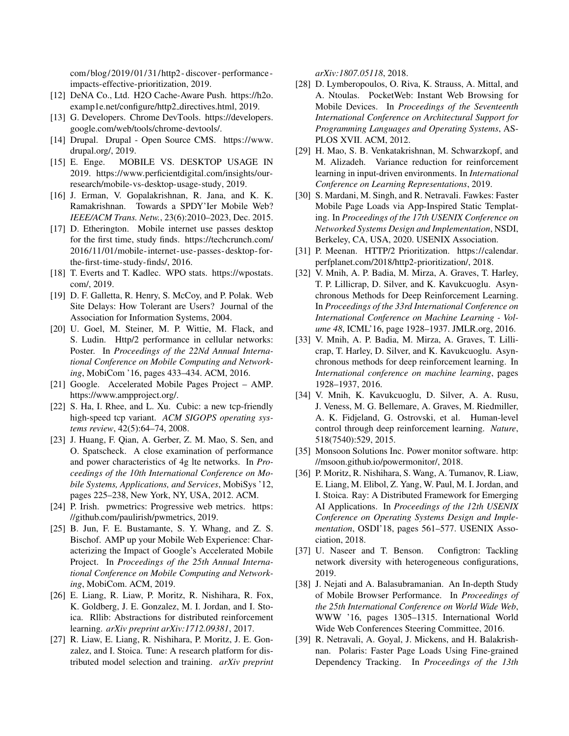com/blog/2019/01/31/http2 - discover- performance impacts-effective-prioritization, 2019.

- [12] DeNA Co., Ltd. H2O Cache-Aware Push. https://h2o. examp1e.net/configure/http2 directives.html, 2019.
- [13] G. Developers. Chrome DevTools. https://developers. google.com/web/tools/chrome-devtools/.
- [14] Drupal. Drupal Open Source CMS. https://www. drupal.org/, 2019.
- [15] E. Enge. MOBILE VS. DESKTOP USAGE IN 2019. https://www.perficientdigital.com/insights/ourresearch/mobile-vs-desktop-usage-study, 2019.
- [16] J. Erman, V. Gopalakrishnan, R. Jana, and K. K. Ramakrishnan. Towards a SPDY'Ier Mobile Web? *IEEE/ACM Trans. Netw.*, 23(6):2010–2023, Dec. 2015.
- [17] D. Etherington. Mobile internet use passes desktop for the first time, study finds. https://techcrunch.com/ 2016/11/01/mobile-internet-use-passes-desktop- forthe-first-time-study-finds/, 2016.
- [18] T. Everts and T. Kadlec. WPO stats. https://wpostats. com/, 2019.
- [19] D. F. Galletta, R. Henry, S. McCoy, and P. Polak. Web Site Delays: How Tolerant are Users? Journal of the Association for Information Systems, 2004.
- [20] U. Goel, M. Steiner, M. P. Wittie, M. Flack, and S. Ludin. Http/2 performance in cellular networks: Poster. In *Proceedings of the 22Nd Annual International Conference on Mobile Computing and Networking*, MobiCom '16, pages 433–434. ACM, 2016.
- [21] Google. Accelerated Mobile Pages Project AMP. https://www.ampproject.org/.
- [22] S. Ha, I. Rhee, and L. Xu. Cubic: a new tcp-friendly high-speed tcp variant. *ACM SIGOPS operating systems review*, 42(5):64–74, 2008.
- [23] J. Huang, F. Qian, A. Gerber, Z. M. Mao, S. Sen, and O. Spatscheck. A close examination of performance and power characteristics of 4g lte networks. In *Proceedings of the 10th International Conference on Mobile Systems, Applications, and Services*, MobiSys '12, pages 225–238, New York, NY, USA, 2012. ACM.
- [24] P. Irish. pwmetrics: Progressive web metrics. https: //github.com/paulirish/pwmetrics, 2019.
- [25] B. Jun, F. E. Bustamante, S. Y. Whang, and Z. S. Bischof. AMP up your Mobile Web Experience: Characterizing the Impact of Google's Accelerated Mobile Project. In *Proceedings of the 25th Annual International Conference on Mobile Computing and Networking*, MobiCom. ACM, 2019.
- [26] E. Liang, R. Liaw, P. Moritz, R. Nishihara, R. Fox, K. Goldberg, J. E. Gonzalez, M. I. Jordan, and I. Stoica. Rllib: Abstractions for distributed reinforcement learning. *arXiv preprint arXiv:1712.09381*, 2017.
- [27] R. Liaw, E. Liang, R. Nishihara, P. Moritz, J. E. Gonzalez, and I. Stoica. Tune: A research platform for distributed model selection and training. *arXiv preprint*

*arXiv:1807.05118*, 2018.

- [28] D. Lymberopoulos, O. Riva, K. Strauss, A. Mittal, and A. Ntoulas. PocketWeb: Instant Web Browsing for Mobile Devices. In *Proceedings of the Seventeenth International Conference on Architectural Support for Programming Languages and Operating Systems*, AS-PLOS XVII. ACM, 2012.
- [29] H. Mao, S. B. Venkatakrishnan, M. Schwarzkopf, and M. Alizadeh. Variance reduction for reinforcement learning in input-driven environments. In *International Conference on Learning Representations*, 2019.
- [30] S. Mardani, M. Singh, and R. Netravali. Fawkes: Faster Mobile Page Loads via App-Inspired Static Templating. In *Proceedings of the 17th USENIX Conference on Networked Systems Design and Implementation*, NSDI, Berkeley, CA, USA, 2020. USENIX Association.
- [31] P. Meenan. HTTP/2 Prioritization. https://calendar. perfplanet.com/2018/http2-prioritization/, 2018.
- [32] V. Mnih, A. P. Badia, M. Mirza, A. Graves, T. Harley, T. P. Lillicrap, D. Silver, and K. Kavukcuoglu. Asynchronous Methods for Deep Reinforcement Learning. In *Proceedings of the 33rd International Conference on International Conference on Machine Learning - Volume 48*, ICML'16, page 1928–1937. JMLR.org, 2016.
- [33] V. Mnih, A. P. Badia, M. Mirza, A. Graves, T. Lillicrap, T. Harley, D. Silver, and K. Kavukcuoglu. Asynchronous methods for deep reinforcement learning. In *International conference on machine learning*, pages 1928–1937, 2016.
- [34] V. Mnih, K. Kavukcuoglu, D. Silver, A. A. Rusu, J. Veness, M. G. Bellemare, A. Graves, M. Riedmiller, A. K. Fidjeland, G. Ostrovski, et al. Human-level control through deep reinforcement learning. *Nature*, 518(7540):529, 2015.
- [35] Monsoon Solutions Inc. Power monitor software. http: //msoon.github.io/powermonitor/, 2018.
- [36] P. Moritz, R. Nishihara, S. Wang, A. Tumanov, R. Liaw, E. Liang, M. Elibol, Z. Yang, W. Paul, M. I. Jordan, and I. Stoica. Ray: A Distributed Framework for Emerging AI Applications. In *Proceedings of the 12th USENIX Conference on Operating Systems Design and Implementation*, OSDI'18, pages 561–577. USENIX Association, 2018.
- [37] U. Naseer and T. Benson. Configtron: Tackling network diversity with heterogeneous configurations, 2019.
- [38] J. Nejati and A. Balasubramanian. An In-depth Study of Mobile Browser Performance. In *Proceedings of the 25th International Conference on World Wide Web*, WWW '16, pages 1305–1315. International World Wide Web Conferences Steering Committee, 2016.
- [39] R. Netravali, A. Goyal, J. Mickens, and H. Balakrishnan. Polaris: Faster Page Loads Using Fine-grained Dependency Tracking. In *Proceedings of the 13th*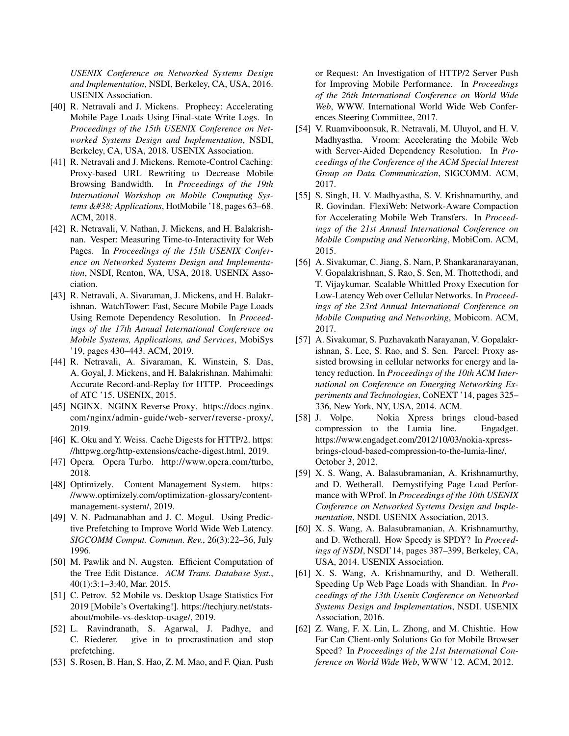*USENIX Conference on Networked Systems Design and Implementation*, NSDI, Berkeley, CA, USA, 2016. USENIX Association.

- [40] R. Netravali and J. Mickens. Prophecy: Accelerating Mobile Page Loads Using Final-state Write Logs. In *Proceedings of the 15th USENIX Conference on Networked Systems Design and Implementation*, NSDI, Berkeley, CA, USA, 2018. USENIX Association.
- [41] R. Netravali and J. Mickens. Remote-Control Caching: Proxy-based URL Rewriting to Decrease Mobile Browsing Bandwidth. In *Proceedings of the 19th International Workshop on Mobile Computing Systems & Applications*, HotMobile '18, pages 63–68. ACM, 2018.
- [42] R. Netravali, V. Nathan, J. Mickens, and H. Balakrishnan. Vesper: Measuring Time-to-Interactivity for Web Pages. In *Proceedings of the 15th USENIX Conference on Networked Systems Design and Implementation*, NSDI, Renton, WA, USA, 2018. USENIX Association.
- [43] R. Netravali, A. Sivaraman, J. Mickens, and H. Balakrishnan. WatchTower: Fast, Secure Mobile Page Loads Using Remote Dependency Resolution. In *Proceedings of the 17th Annual International Conference on Mobile Systems, Applications, and Services*, MobiSys '19, pages 430–443. ACM, 2019.
- [44] R. Netravali, A. Sivaraman, K. Winstein, S. Das, A. Goyal, J. Mickens, and H. Balakrishnan. Mahimahi: Accurate Record-and-Replay for HTTP. Proceedings of ATC '15. USENIX, 2015.
- [45] NGINX. NGINX Reverse Proxy. https://docs.nginx. com/nginx/admin- guide/web- server/reverse- proxy/, 2019.
- [46] K. Oku and Y. Weiss. Cache Digests for HTTP/2. https: //httpwg.org/http-extensions/cache-digest.html, 2019.
- [47] Opera. Opera Turbo. http://www.opera.com/turbo, 2018.
- [48] Optimizely. Content Management System. https: //www.optimizely.com/optimization-glossary/contentmanagement-system/, 2019.
- [49] V. N. Padmanabhan and J. C. Mogul. Using Predictive Prefetching to Improve World Wide Web Latency. *SIGCOMM Comput. Commun. Rev.*, 26(3):22–36, July 1996.
- [50] M. Pawlik and N. Augsten. Efficient Computation of the Tree Edit Distance. *ACM Trans. Database Syst.*, 40(1):3:1–3:40, Mar. 2015.
- [51] C. Petrov. 52 Mobile vs. Desktop Usage Statistics For 2019 [Mobile's Overtaking!]. https://techjury.net/statsabout/mobile-vs-desktop-usage/, 2019.
- [52] L. Ravindranath, S. Agarwal, J. Padhye, and C. Riederer. give in to procrastination and stop prefetching.
- [53] S. Rosen, B. Han, S. Hao, Z. M. Mao, and F. Qian. Push

or Request: An Investigation of HTTP/2 Server Push for Improving Mobile Performance. In *Proceedings of the 26th International Conference on World Wide Web*, WWW. International World Wide Web Conferences Steering Committee, 2017.

- [54] V. Ruamviboonsuk, R. Netravali, M. Uluyol, and H. V. Madhyastha. Vroom: Accelerating the Mobile Web with Server-Aided Dependency Resolution. In *Proceedings of the Conference of the ACM Special Interest Group on Data Communication*, SIGCOMM. ACM, 2017.
- [55] S. Singh, H. V. Madhyastha, S. V. Krishnamurthy, and R. Govindan. FlexiWeb: Network-Aware Compaction for Accelerating Mobile Web Transfers. In *Proceedings of the 21st Annual International Conference on Mobile Computing and Networking*, MobiCom. ACM, 2015.
- [56] A. Sivakumar, C. Jiang, S. Nam, P. Shankaranarayanan, V. Gopalakrishnan, S. Rao, S. Sen, M. Thottethodi, and T. Vijaykumar. Scalable Whittled Proxy Execution for Low-Latency Web over Cellular Networks. In *Proceedings of the 23rd Annual International Conference on Mobile Computing and Networking*, Mobicom. ACM, 2017.
- [57] A. Sivakumar, S. Puzhavakath Narayanan, V. Gopalakrishnan, S. Lee, S. Rao, and S. Sen. Parcel: Proxy assisted browsing in cellular networks for energy and latency reduction. In *Proceedings of the 10th ACM International on Conference on Emerging Networking Experiments and Technologies*, CoNEXT '14, pages 325– 336, New York, NY, USA, 2014. ACM.
- [58] J. Volpe. Nokia Xpress brings cloud-based compression to the Lumia line. Engadget. https://www.engadget.com/2012/10/03/nokia-xpressbrings-cloud-based-compression-to-the-lumia-line/, October 3, 2012.
- [59] X. S. Wang, A. Balasubramanian, A. Krishnamurthy, and D. Wetherall. Demystifying Page Load Performance with WProf. In *Proceedings of the 10th USENIX Conference on Networked Systems Design and Implementation*, NSDI. USENIX Association, 2013.
- [60] X. S. Wang, A. Balasubramanian, A. Krishnamurthy, and D. Wetherall. How Speedy is SPDY? In *Proceedings of NSDI*, NSDI'14, pages 387–399, Berkeley, CA, USA, 2014. USENIX Association.
- [61] X. S. Wang, A. Krishnamurthy, and D. Wetherall. Speeding Up Web Page Loads with Shandian. In *Proceedings of the 13th Usenix Conference on Networked Systems Design and Implementation*, NSDI. USENIX Association, 2016.
- [62] Z. Wang, F. X. Lin, L. Zhong, and M. Chishtie. How Far Can Client-only Solutions Go for Mobile Browser Speed? In *Proceedings of the 21st International Conference on World Wide Web*, WWW '12. ACM, 2012.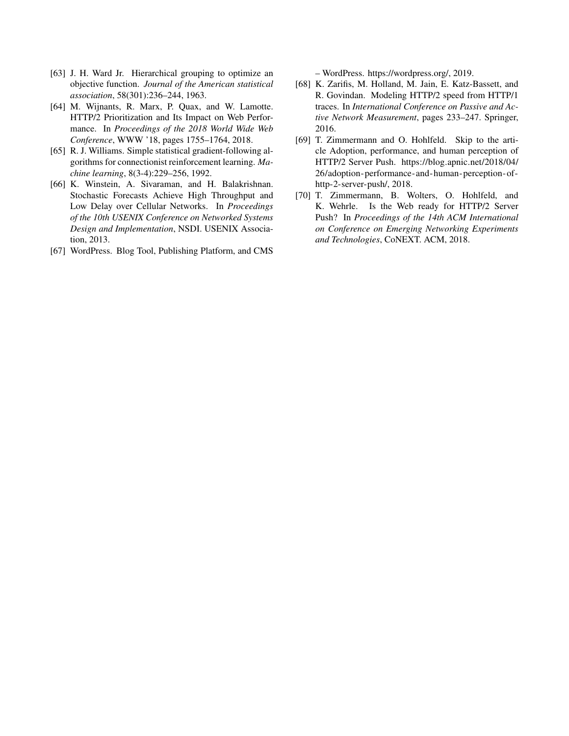- [63] J. H. Ward Jr. Hierarchical grouping to optimize an objective function. *Journal of the American statistical association*, 58(301):236–244, 1963.
- [64] M. Wijnants, R. Marx, P. Quax, and W. Lamotte. HTTP/2 Prioritization and Its Impact on Web Performance. In *Proceedings of the 2018 World Wide Web Conference*, WWW '18, pages 1755–1764, 2018.
- [65] R. J. Williams. Simple statistical gradient-following algorithms for connectionist reinforcement learning. *Machine learning*, 8(3-4):229–256, 1992.
- [66] K. Winstein, A. Sivaraman, and H. Balakrishnan. Stochastic Forecasts Achieve High Throughput and Low Delay over Cellular Networks. In *Proceedings of the 10th USENIX Conference on Networked Systems Design and Implementation*, NSDI. USENIX Association, 2013.
- [67] WordPress. Blog Tool, Publishing Platform, and CMS

– WordPress. https://wordpress.org/, 2019.

- [68] K. Zarifis, M. Holland, M. Jain, E. Katz-Bassett, and R. Govindan. Modeling HTTP/2 speed from HTTP/1 traces. In *International Conference on Passive and Active Network Measurement*, pages 233–247. Springer, 2016.
- [69] T. Zimmermann and O. Hohlfeld. Skip to the article Adoption, performance, and human perception of HTTP/2 Server Push. https://blog.apnic.net/2018/04/ 26/adoption-performance-and-human-perception-ofhttp-2-server-push/, 2018.
- [70] T. Zimmermann, B. Wolters, O. Hohlfeld, and K. Wehrle. Is the Web ready for HTTP/2 Server Push? In *Proceedings of the 14th ACM International on Conference on Emerging Networking Experiments and Technologies*, CoNEXT. ACM, 2018.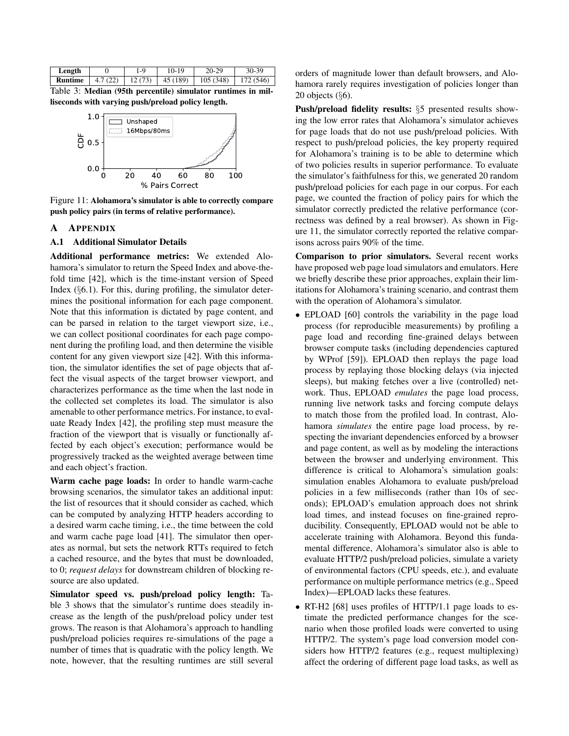| Length         |         | $1 - 9$ | 10-19               | $20 - 29$         | $30 - 39$ |
|----------------|---------|---------|---------------------|-------------------|-----------|
| <b>Runtime</b> | 4.7(22) |         | $12(73)$   45 (189) | $\vert$ 105 (348) | 172 (546) |

Table 3: Median (95th percentile) simulator runtimes in milliseconds with varying push/preload policy length.



Figure 11: Alohamora's simulator is able to correctly compare push policy pairs (in terms of relative performance).

## A APPENDIX

#### A.1 Additional Simulator Details

Additional performance metrics: We extended Alohamora's simulator to return the Speed Index and above-thefold time [42], which is the time-instant version of Speed Index  $(\S6.1)$ . For this, during profiling, the simulator determines the positional information for each page component. Note that this information is dictated by page content, and can be parsed in relation to the target viewport size, i.e., we can collect positional coordinates for each page component during the profiling load, and then determine the visible content for any given viewport size [42]. With this information, the simulator identifies the set of page objects that affect the visual aspects of the target browser viewport, and characterizes performance as the time when the last node in the collected set completes its load. The simulator is also amenable to other performance metrics. For instance, to evaluate Ready Index [42], the profiling step must measure the fraction of the viewport that is visually or functionally affected by each object's execution; performance would be progressively tracked as the weighted average between time and each object's fraction.

Warm cache page loads: In order to handle warm-cache browsing scenarios, the simulator takes an additional input: the list of resources that it should consider as cached, which can be computed by analyzing HTTP headers according to a desired warm cache timing, i.e., the time between the cold and warm cache page load [41]. The simulator then operates as normal, but sets the network RTTs required to fetch a cached resource, and the bytes that must be downloaded, to 0; *request delays* for downstream children of blocking resource are also updated.

Simulator speed vs. push/preload policy length: Table 3 shows that the simulator's runtime does steadily increase as the length of the push/preload policy under test grows. The reason is that Alohamora's approach to handling push/preload policies requires re-simulations of the page a number of times that is quadratic with the policy length. We note, however, that the resulting runtimes are still several

orders of magnitude lower than default browsers, and Alohamora rarely requires investigation of policies longer than 20 objects  $(\S6)$ .

Push/preload fidelity results: §5 presented results showing the low error rates that Alohamora's simulator achieves for page loads that do not use push/preload policies. With respect to push/preload policies, the key property required for Alohamora's training is to be able to determine which of two policies results in superior performance. To evaluate the simulator's faithfulness for this, we generated 20 random push/preload policies for each page in our corpus. For each page, we counted the fraction of policy pairs for which the simulator correctly predicted the relative performance (correctness was defined by a real browser). As shown in Figure 11, the simulator correctly reported the relative comparisons across pairs 90% of the time.

Comparison to prior simulators. Several recent works have proposed web page load simulators and emulators. Here we briefly describe these prior approaches, explain their limitations for Alohamora's training scenario, and contrast them with the operation of Alohamora's simulator.

- EPLOAD [60] controls the variability in the page load process (for reproducible measurements) by profiling a page load and recording fine-grained delays between browser compute tasks (including dependencies captured by WProf [59]). EPLOAD then replays the page load process by replaying those blocking delays (via injected sleeps), but making fetches over a live (controlled) network. Thus, EPLOAD *emulates* the page load process, running live network tasks and forcing compute delays to match those from the profiled load. In contrast, Alohamora *simulates* the entire page load process, by respecting the invariant dependencies enforced by a browser and page content, as well as by modeling the interactions between the browser and underlying environment. This difference is critical to Alohamora's simulation goals: simulation enables Alohamora to evaluate push/preload policies in a few milliseconds (rather than 10s of seconds); EPLOAD's emulation approach does not shrink load times, and instead focuses on fine-grained reproducibility. Consequently, EPLOAD would not be able to accelerate training with Alohamora. Beyond this fundamental difference, Alohamora's simulator also is able to evaluate HTTP/2 push/preload policies, simulate a variety of environmental factors (CPU speeds, etc.), and evaluate performance on multiple performance metrics (e.g., Speed Index)—EPLOAD lacks these features.
- RT-H2 [68] uses profiles of HTTP/1.1 page loads to estimate the predicted performance changes for the scenario when those profiled loads were converted to using HTTP/2. The system's page load conversion model considers how HTTP/2 features (e.g., request multiplexing) affect the ordering of different page load tasks, as well as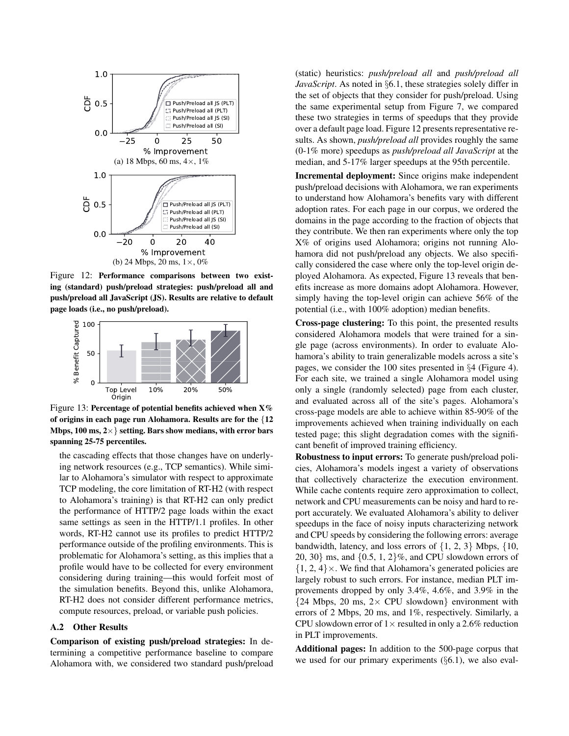

Figure 12: Performance comparisons between two existing (standard) push/preload strategies: push/preload all and push/preload all JavaScript (JS). Results are relative to default page loads (i.e., no push/preload).



Figure 13: Percentage of potential benefits achieved when  $X\%$ of origins in each page run Alohamora. Results are for the {12 Mbps, 100 ms,  $2 \times$ } setting. Bars show medians, with error bars spanning 25-75 percentiles.

the cascading effects that those changes have on underlying network resources (e.g., TCP semantics). While similar to Alohamora's simulator with respect to approximate TCP modeling, the core limitation of RT-H2 (with respect to Alohamora's training) is that RT-H2 can only predict the performance of HTTP/2 page loads within the exact same settings as seen in the HTTP/1.1 profiles. In other words, RT-H2 cannot use its profiles to predict HTTP/2 performance outside of the profiling environments. This is problematic for Alohamora's setting, as this implies that a profile would have to be collected for every environment considering during training—this would forfeit most of the simulation benefits. Beyond this, unlike Alohamora, RT-H2 does not consider different performance metrics, compute resources, preload, or variable push policies.

#### A.2 Other Results

Comparison of existing push/preload strategies: In determining a competitive performance baseline to compare Alohamora with, we considered two standard push/preload (static) heuristics: *push/preload all* and *push/preload all JavaScript*. As noted in §6.1, these strategies solely differ in the set of objects that they consider for push/preload. Using the same experimental setup from Figure 7, we compared these two strategies in terms of speedups that they provide over a default page load. Figure 12 presents representative results. As shown, *push/preload all* provides roughly the same (0-1% more) speedups as *push/preload all JavaScript* at the median, and 5-17% larger speedups at the 95th percentile.

Incremental deployment: Since origins make independent push/preload decisions with Alohamora, we ran experiments to understand how Alohamora's benefits vary with different adoption rates. For each page in our corpus, we ordered the domains in the page according to the fraction of objects that they contribute. We then ran experiments where only the top X% of origins used Alohamora; origins not running Alohamora did not push/preload any objects. We also specifically considered the case where only the top-level origin deployed Alohamora. As expected, Figure 13 reveals that benefits increase as more domains adopt Alohamora. However, simply having the top-level origin can achieve 56% of the potential (i.e., with 100% adoption) median benefits.

Cross-page clustering: To this point, the presented results considered Alohamora models that were trained for a single page (across environments). In order to evaluate Alohamora's ability to train generalizable models across a site's pages, we consider the 100 sites presented in §4 (Figure 4). For each site, we trained a single Alohamora model using only a single (randomly selected) page from each cluster, and evaluated across all of the site's pages. Alohamora's cross-page models are able to achieve within 85-90% of the improvements achieved when training individually on each tested page; this slight degradation comes with the significant benefit of improved training efficiency.

Robustness to input errors: To generate push/preload policies, Alohamora's models ingest a variety of observations that collectively characterize the execution environment. While cache contents require zero approximation to collect, network and CPU measurements can be noisy and hard to report accurately. We evaluated Alohamora's ability to deliver speedups in the face of noisy inputs characterizing network and CPU speeds by considering the following errors: average bandwidth, latency, and loss errors of  $\{1, 2, 3\}$  Mbps,  $\{10,$ 20, 30} ms, and  $\{0.5, 1, 2\}$ %, and CPU slowdown errors of  $\{1, 2, 4\} \times$ . We find that Alohamora's generated policies are largely robust to such errors. For instance, median PLT improvements dropped by only 3.4%, 4.6%, and 3.9% in the  ${24}$  Mbps, 20 ms, 2× CPU slowdown} environment with errors of 2 Mbps, 20 ms, and 1%, respectively. Similarly, a CPU slowdown error of  $1 \times$  resulted in only a 2.6% reduction in PLT improvements.

Additional pages: In addition to the 500-page corpus that we used for our primary experiments  $(\S6.1)$ , we also eval-